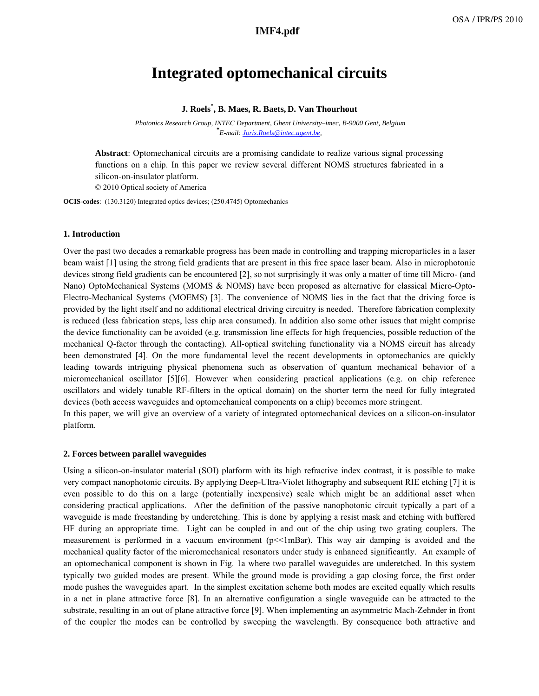## **a42\_1.pdf IMF4.pdf**

# **Integrated optomechanical circuits**

### **J. Roels\* , B. Maes, R. Baets, D. Van Thourhout**

 *Photonics Research Group, INTEC Department, Ghent University-imec, B-9000 Gent, Belgium* **\*** *E-mail: Joris.Roels@intec.ugent.be,* 

**Abstract**: Optomechanical circuits are a promising candidate to realize various signal processing functions on a chip. In this paper we review several different NOMS structures fabricated in a silicon-on-insulator platform.

© 2010 Optical society of America

**OCIS-codes**: (130.3120) Integrated optics devices; (250.4745) Optomechanics

#### **1. Introduction**

Over the past two decades a remarkable progress has been made in controlling and trapping microparticles in a laser beam waist [1] using the strong field gradients that are present in this free space laser beam. Also in microphotonic devices strong field gradients can be encountered [2], so not surprisingly it was only a matter of time till Micro- (and Nano) OptoMechanical Systems (MOMS & NOMS) have been proposed as alternative for classical Micro-Opto-Electro-Mechanical Systems (MOEMS) [3]. The convenience of NOMS lies in the fact that the driving force is provided by the light itself and no additional electrical driving circuitry is needed. Therefore fabrication complexity is reduced (less fabrication steps, less chip area consumed). In addition also some other issues that might comprise the device functionality can be avoided (e.g. transmission line effects for high frequencies, possible reduction of the mechanical Q-factor through the contacting). All-optical switching functionality via a NOMS circuit has already been demonstrated [4]. On the more fundamental level the recent developments in optomechanics are quickly leading towards intriguing physical phenomena such as observation of quantum mechanical behavior of a micromechanical oscillator [5][6]. However when considering practical applications (e.g. on chip reference oscillators and widely tunable RF-filters in the optical domain) on the shorter term the need for fully integrated devices (both access waveguides and optomechanical components on a chip) becomes more stringent.

In this paper, we will give an overview of a variety of integrated optomechanical devices on a silicon-on-insulator platform.

#### **2. Forces between parallel waveguides**

Using a silicon-on-insulator material (SOI) platform with its high refractive index contrast, it is possible to make very compact nanophotonic circuits. By applying Deep-Ultra-Violet lithography and subsequent RIE etching [7] it is even possible to do this on a large (potentially inexpensive) scale which might be an additional asset when considering practical applications. After the definition of the passive nanophotonic circuit typically a part of a waveguide is made freestanding by underetching. This is done by applying a resist mask and etching with buffered HF during an appropriate time. Light can be coupled in and out of the chip using two grating couplers. The measurement is performed in a vacuum environment (p<<1mBar). This way air damping is avoided and the mechanical quality factor of the micromechanical resonators under study is enhanced significantly. An example of an optomechanical component is shown in Fig. 1a where two parallel waveguides are underetched. In this system typically two guided modes are present. While the ground mode is providing a gap closing force, the first order mode pushes the waveguides apart. In the simplest excitation scheme both modes are excited equally which results in a net in plane attractive force [8]. In an alternative configuration a single waveguide can be attracted to the substrate, resulting in an out of plane attractive force [9]. When implementing an asymmetric Mach-Zehnder in front of the coupler the modes can be controlled by sweeping the wavelength. By consequence both attractive and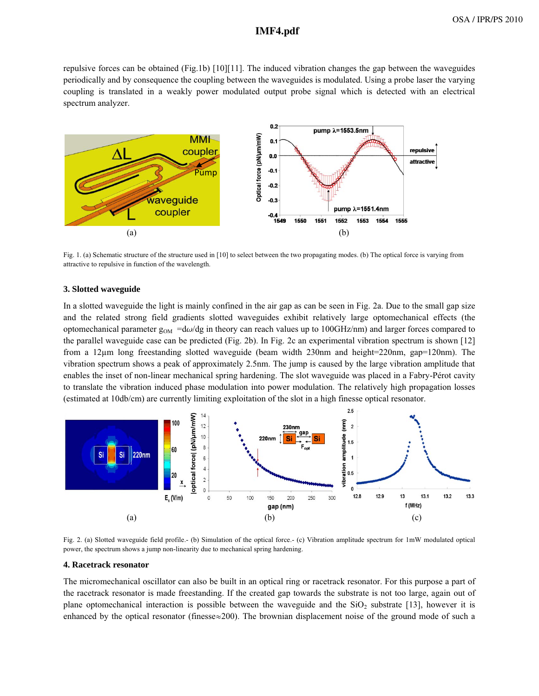## **a42\_1.pdf IMF4.pdf**

repulsive forces can be obtained (Fig.1b) [10][11]. The induced vibration changes the gap between the waveguides periodically and by consequence the coupling between the waveguides is modulated. Using a probe laser the varying coupling is translated in a weakly power modulated output probe signal which is detected with an electrical spectrum analyzer.



Fig. 1. (a) Schematic structure of the structure used in [10] to select between the two propagating modes. (b) The optical force is varying from attractive to repulsive in function of the wavelength.

#### **3. Slotted waveguide**

In a slotted waveguide the light is mainly confined in the air gap as can be seen in Fig. 2a. Due to the small gap size and the related strong field gradients slotted waveguides exhibit relatively large optomechanical effects (the optomechanical parameter  $g_{OM} = d\omega/dg$  in theory can reach values up to 100GHz/nm) and larger forces compared to the parallel waveguide case can be predicted (Fig. 2b). In Fig. 2c an experimental vibration spectrum is shown [12] from a 12μm long freestanding slotted waveguide (beam width 230nm and height=220nm, gap=120nm). The vibration spectrum shows a peak of approximately 2.5nm. The jump is caused by the large vibration amplitude that enables the inset of non-linear mechanical spring hardening. The slot waveguide was placed in a Fabry-Pérot cavity to translate the vibration induced phase modulation into power modulation. The relatively high propagation losses (estimated at 10db/cm) are currently limiting exploitation of the slot in a high finesse optical resonator.



Fig. 2. (a) Slotted waveguide field profile.- (b) Simulation of the optical force.- (c) Vibration amplitude spectrum for 1mW modulated optical power, the spectrum shows a jump non-linearity due to mechanical spring hardening.

#### **4. Racetrack resonator**

The micromechanical oscillator can also be built in an optical ring or racetrack resonator. For this purpose a part of the racetrack resonator is made freestanding. If the created gap towards the substrate is not too large, again out of plane optomechanical interaction is possible between the waveguide and the  $SiO<sub>2</sub>$  substrate [13], however it is enhanced by the optical resonator (finesse $\approx$ 200). The brownian displacement noise of the ground mode of such a